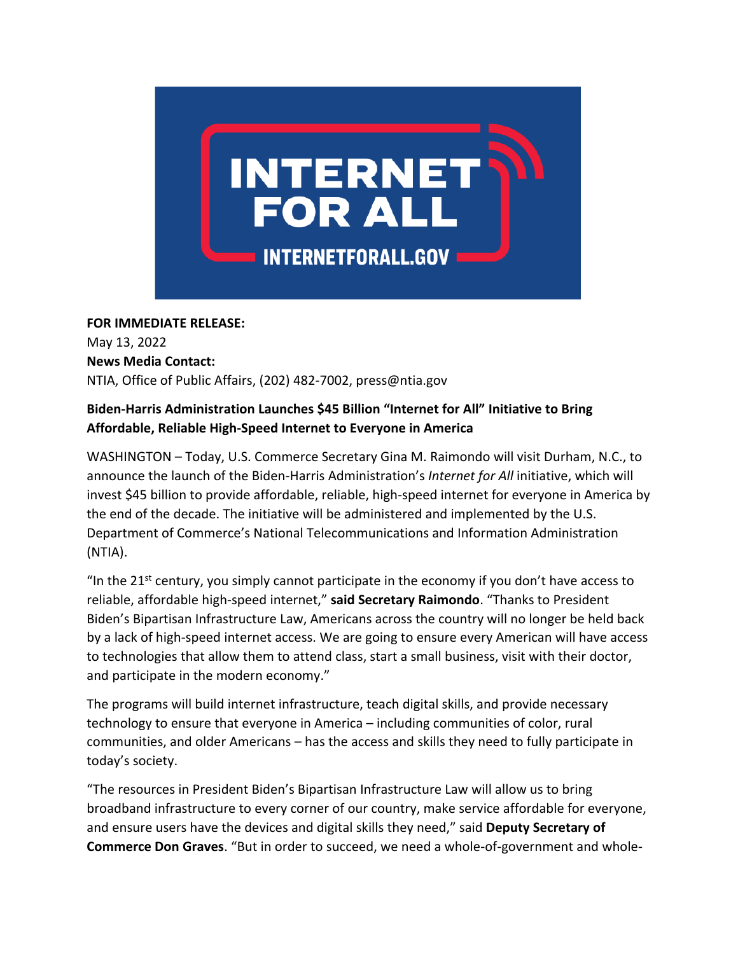

## **FOR IMMEDIATE RELEASE:**

May 13, 2022  **News Media Contact:**  NTIA, Office of Public Affairs, (202) 482-7002, press@ntia.gov    

## **Biden-Harris Administration Launches \$45 Billion "Internet for All" Initiative to Bring Affordable, Reliable High-Speed Internet to Everyone in America**

WASHINGTON – Today, U.S. Commerce Secretary Gina M. Raimondo will visit Durham, N.C., to announce the launch of the Biden-Harris Administration's *Internet for All* initiative, which will invest \$45 billion to provide affordable, reliable, high-speed internet for everyone in America by the end of the decade. The initiative will be administered and implemented by the U.S. Department of Commerce's National Telecommunications and Information Administration (NTIA).

"In the  $21^{st}$  century, you simply cannot participate in the economy if you don't have access to reliable, affordable high-speed internet," **said Secretary Raimondo**. "Thanks to President Biden's Bipartisan Infrastructure Law, Americans across the country will no longer be held back by a lack of high-speed internet access. We are going to ensure every American will have access to technologies that allow them to attend class, start a small business, visit with their doctor, and participate in the modern economy."

The programs will build internet infrastructure, teach digital skills, and provide necessary technology to ensure that everyone in America – including communities of color, rural communities, and older Americans – has the access and skills they need to fully participate in today's society.

"The resources in President Biden's Bipartisan Infrastructure Law will allow us to bring broadband infrastructure to every corner of our country, make service affordable for everyone, and ensure users have the devices and digital skills they need," said **Deputy Secretary of Commerce Don Graves**. "But in order to succeed, we need a whole-of-government and whole